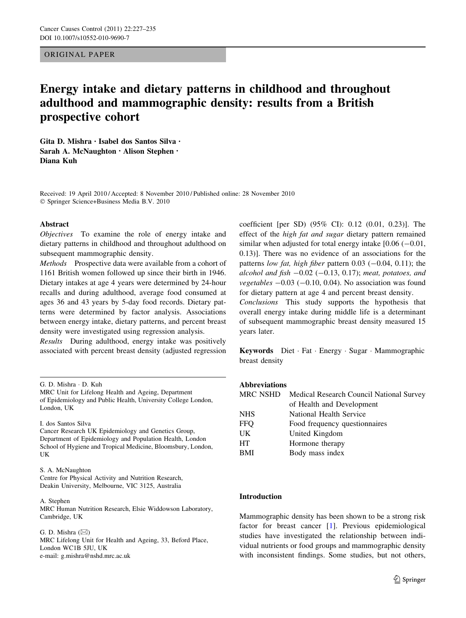# ORIGINAL PAPER

# Energy intake and dietary patterns in childhood and throughout adulthood and mammographic density: results from a British prospective cohort

Gita D. Mishra • Isabel dos Santos Silva • Sarah A. McNaughton • Alison Stephen • Diana Kuh

Received: 19 April 2010 / Accepted: 8 November 2010 / Published online: 28 November 2010 - Springer Science+Business Media B.V. 2010

#### Abstract

Objectives To examine the role of energy intake and dietary patterns in childhood and throughout adulthood on subsequent mammographic density.

Methods Prospective data were available from a cohort of 1161 British women followed up since their birth in 1946. Dietary intakes at age 4 years were determined by 24-hour recalls and during adulthood, average food consumed at ages 36 and 43 years by 5-day food records. Dietary patterns were determined by factor analysis. Associations between energy intake, dietary patterns, and percent breast density were investigated using regression analysis.

Results During adulthood, energy intake was positively associated with percent breast density (adjusted regression

I. dos Santos Silva

# S. A. McNaughton

Centre for Physical Activity and Nutrition Research, Deakin University, Melbourne, VIC 3125, Australia

#### A. Stephen

MRC Human Nutrition Research, Elsie Widdowson Laboratory, Cambridge, UK

G. D. Mishra  $(\boxtimes)$ MRC Lifelong Unit for Health and Ageing, 33, Beford Place, London WC1B 5JU, UK e-mail: g.mishra@nshd.mrc.ac.uk

coefficient [per SD) (95% CI): 0.12 (0.01, 0.23)]. The effect of the high fat and sugar dietary pattern remained similar when adjusted for total energy intake  $[0.06 (-0.01,$ 0.13)]. There was no evidence of an associations for the patterns low fat, high fiber pattern  $0.03$  ( $-0.04$ ,  $0.11$ ); the alcohol and fish  $-0.02$  ( $-0.13$ , 0.17); meat, potatoes, and vegetables  $-0.03$  ( $-0.10$ , 0.04). No association was found for dietary pattern at age 4 and percent breast density. Conclusions This study supports the hypothesis that overall energy intake during middle life is a determinant of subsequent mammographic breast density measured 15

Keywords Diet - Fat - Energy - Sugar - Mammographic breast density

# Abbreviations

years later.

| MRC NSHD   | Medical Research Council National Survey |
|------------|------------------------------------------|
|            | of Health and Development                |
| <b>NHS</b> | National Health Service                  |
| <b>FFO</b> | Food frequency question aires            |
| UK         | United Kingdom                           |
| <b>HT</b>  | Hormone therapy                          |
| <b>BMI</b> | Body mass index                          |
|            |                                          |

#### Introduction

Mammographic density has been shown to be a strong risk factor for breast cancer [[1\]](#page-7-0). Previous epidemiological studies have investigated the relationship between individual nutrients or food groups and mammographic density with inconsistent findings. Some studies, but not others,

G. D. Mishra - D. Kuh

MRC Unit for Lifelong Health and Ageing, Department of Epidemiology and Public Health, University College London, London, UK

Cancer Research UK Epidemiology and Genetics Group, Department of Epidemiology and Population Health, London School of Hygiene and Tropical Medicine, Bloomsbury, London, UK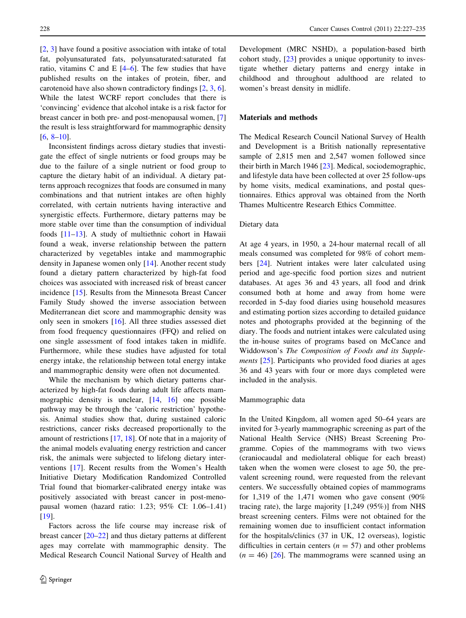[\[2](#page-7-0), [3\]](#page-7-0) have found a positive association with intake of total fat, polyunsaturated fats, polyunsaturated:saturated fat ratio, vitamins C and E [[4–6](#page-7-0)]. The few studies that have published results on the intakes of protein, fiber, and carotenoid have also shown contradictory findings [\[2](#page-7-0), [3](#page-7-0), [6](#page-7-0)]. While the latest WCRF report concludes that there is 'convincing' evidence that alcohol intake is a risk factor for breast cancer in both pre- and post-menopausal women, [[7\]](#page-7-0) the result is less straightforward for mammographic density  $[6, 8-10]$  $[6, 8-10]$ .

Inconsistent findings across dietary studies that investigate the effect of single nutrients or food groups may be due to the failure of a single nutrient or food group to capture the dietary habit of an individual. A dietary patterns approach recognizes that foods are consumed in many combinations and that nutrient intakes are often highly correlated, with certain nutrients having interactive and synergistic effects. Furthermore, dietary patterns may be more stable over time than the consumption of individual foods [\[11–13](#page-7-0)]. A study of multiethnic cohort in Hawaii found a weak, inverse relationship between the pattern characterized by vegetables intake and mammographic density in Japanese women only [[14\]](#page-7-0). Another recent study found a dietary pattern characterized by high-fat food choices was associated with increased risk of breast cancer incidence [\[15](#page-7-0)]. Results from the Minnesota Breast Cancer Family Study showed the inverse association between Mediterranean diet score and mammographic density was only seen in smokers [[16\]](#page-7-0). All three studies assessed diet from food frequency questionnaires (FFQ) and relied on one single assessment of food intakes taken in midlife. Furthermore, while these studies have adjusted for total energy intake, the relationship between total energy intake and mammographic density were often not documented.

While the mechanism by which dietary patterns characterized by high-fat foods during adult life affects mam-mographic density is unclear, [\[14](#page-7-0), [16\]](#page-7-0) one possible pathway may be through the 'caloric restriction' hypothesis. Animal studies show that, during sustained caloric restrictions, cancer risks decreased proportionally to the amount of restrictions [\[17](#page-7-0), [18](#page-7-0)]. Of note that in a majority of the animal models evaluating energy restriction and cancer risk, the animals were subjected to lifelong dietary interventions [\[17](#page-7-0)]. Recent results from the Women's Health Initiative Dietary Modification Randomized Controlled Trial found that biomarker-calibrated energy intake was positively associated with breast cancer in post-menopausal women (hazard ratio: 1.23; 95% CI: 1.06–1.41) [\[19](#page-7-0)].

Factors across the life course may increase risk of breast cancer [\[20–22](#page-7-0)] and thus dietary patterns at different ages may correlate with mammographic density. The Medical Research Council National Survey of Health and Development (MRC NSHD), a population-based birth cohort study, [[23\]](#page-7-0) provides a unique opportunity to investigate whether dietary patterns and energy intake in childhood and throughout adulthood are related to women's breast density in midlife.

# Materials and methods

The Medical Research Council National Survey of Health and Development is a British nationally representative sample of 2,815 men and 2,547 women followed since their birth in March 1946 [\[23](#page-7-0)]. Medical, sociodemographic, and lifestyle data have been collected at over 25 follow-ups by home visits, medical examinations, and postal questionnaires. Ethics approval was obtained from the North Thames Multicentre Research Ethics Committee.

#### Dietary data

At age 4 years, in 1950, a 24-hour maternal recall of all meals consumed was completed for 98% of cohort members [[24\]](#page-7-0). Nutrient intakes were later calculated using period and age-specific food portion sizes and nutrient databases. At ages 36 and 43 years, all food and drink consumed both at home and away from home were recorded in 5-day food diaries using household measures and estimating portion sizes according to detailed guidance notes and photographs provided at the beginning of the diary. The foods and nutrient intakes were calculated using the in-house suites of programs based on McCance and Widdowson's The Composition of Foods and its Supple-ments [[25\]](#page-7-0). Participants who provided food diaries at ages 36 and 43 years with four or more days completed were included in the analysis.

# Mammographic data

In the United Kingdom, all women aged 50–64 years are invited for 3-yearly mammographic screening as part of the National Health Service (NHS) Breast Screening Programme. Copies of the mammograms with two views (craniocaudal and mediolateral oblique for each breast) taken when the women were closest to age 50, the prevalent screening round, were requested from the relevant centers. We successfully obtained copies of mammograms for 1,319 of the 1,471 women who gave consent  $(90\%$ tracing rate), the large majority [1,249 (95%)] from NHS breast screening centers. Films were not obtained for the remaining women due to insufficient contact information for the hospitals/clinics (37 in UK, 12 overseas), logistic difficulties in certain centers ( $n = 57$ ) and other problems  $(n = 46)$  [\[26](#page-7-0)]. The mammograms were scanned using an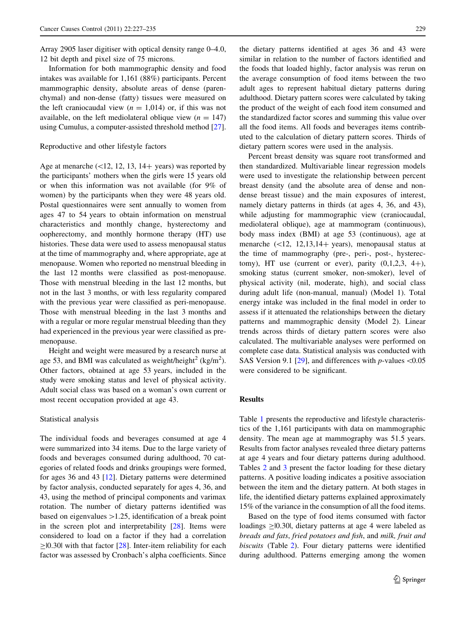Array 2905 laser digitiser with optical density range 0–4.0, 12 bit depth and pixel size of 75 microns.

Information for both mammographic density and food intakes was available for 1,161 (88%) participants. Percent mammographic density, absolute areas of dense (parenchymal) and non-dense (fatty) tissues were measured on the left craniocaudal view  $(n = 1,014)$  or, if this was not available, on the left mediolateral oblique view  $(n = 147)$ using Cumulus, a computer-assisted threshold method [\[27](#page-7-0)].

#### Reproductive and other lifestyle factors

Age at menarche  $(\le 12, 12, 13, 14+$  years) was reported by the participants' mothers when the girls were 15 years old or when this information was not available (for 9% of women) by the participants when they were 48 years old. Postal questionnaires were sent annually to women from ages 47 to 54 years to obtain information on menstrual characteristics and monthly change, hysterectomy and oopherectomy, and monthly hormone therapy (HT) use histories. These data were used to assess menopausal status at the time of mammography and, where appropriate, age at menopause. Women who reported no menstrual bleeding in the last 12 months were classified as post-menopause. Those with menstrual bleeding in the last 12 months, but not in the last 3 months, or with less regularity compared with the previous year were classified as peri-menopause. Those with menstrual bleeding in the last 3 months and with a regular or more regular menstrual bleeding than they had experienced in the previous year were classified as premenopause.

Height and weight were measured by a research nurse at age 53, and BMI was calculated as weight/height<sup>2</sup> (kg/m<sup>2</sup>). Other factors, obtained at age 53 years, included in the study were smoking status and level of physical activity. Adult social class was based on a woman's own current or most recent occupation provided at age 43.

#### Statistical analysis

The individual foods and beverages consumed at age 4 were summarized into 34 items. Due to the large variety of foods and beverages consumed during adulthood, 70 categories of related foods and drinks groupings were formed, for ages 36 and 43 [\[12](#page-7-0)]. Dietary patterns were determined by factor analysis, conducted separately for ages 4, 36, and 43, using the method of principal components and varimax rotation. The number of dietary patterns identified was based on eigenvalues  $>1.25$ , identification of a break point in the screen plot and interpretability  $[28]$  $[28]$ . Items were considered to load on a factor if they had a correlation  $\geq$  [0.30] with that factor [[28\]](#page-7-0). Inter-item reliability for each factor was assessed by Cronbach's alpha coefficients. Since

the dietary patterns identified at ages 36 and 43 were similar in relation to the number of factors identified and the foods that loaded highly, factor analysis was rerun on the average consumption of food items between the two adult ages to represent habitual dietary patterns during adulthood. Dietary pattern scores were calculated by taking the product of the weight of each food item consumed and the standardized factor scores and summing this value over all the food items. All foods and beverages items contributed to the calculation of dietary pattern scores. Thirds of dietary pattern scores were used in the analysis.

Percent breast density was square root transformed and then standardized. Multivariable linear regression models were used to investigate the relationship between percent breast density (and the absolute area of dense and nondense breast tissue) and the main exposures of interest, namely dietary patterns in thirds (at ages 4, 36, and 43), while adjusting for mammographic view (craniocaudal, mediolateral oblique), age at mammogram (continuous), body mass index (BMI) at age 53 (continuous), age at menarche  $(\leq 12, 12, 13, 14+$  years), menopausal status at the time of mammography (pre-, peri-, post-, hysterectomy), HT use (current or ever), parity  $(0,1,2,3, 4+)$ , smoking status (current smoker, non-smoker), level of physical activity (nil, moderate, high), and social class during adult life (non-manual, manual) (Model 1). Total energy intake was included in the final model in order to assess if it attenuated the relationships between the dietary patterns and mammographic density (Model 2). Linear trends across thirds of dietary pattern scores were also calculated. The multivariable analyses were performed on complete case data. Statistical analysis was conducted with SAS Version 9.1 [[29\]](#page-8-0), and differences with *p*-values  $\langle 0.05 \rangle$ were considered to be significant.

#### **Results**

Table [1](#page-3-0) presents the reproductive and lifestyle characteristics of the 1,161 participants with data on mammographic density. The mean age at mammography was 51.5 years. Results from factor analyses revealed three dietary patterns at age 4 years and four dietary patterns during adulthood. Tables [2](#page-4-0) and [3](#page-5-0) present the factor loading for these dietary patterns. A positive loading indicates a positive association between the item and the dietary pattern. At both stages in life, the identified dietary patterns explained approximately 15% of the variance in the consumption of all the food items.

Based on the type of food items consumed with factor loadings  $\geq$  [0.30], dietary patterns at age 4 were labeled as breads and fats, fried potatoes and fish, and milk, fruit and biscuits (Table [2](#page-4-0)). Four dietary patterns were identified during adulthood. Patterns emerging among the women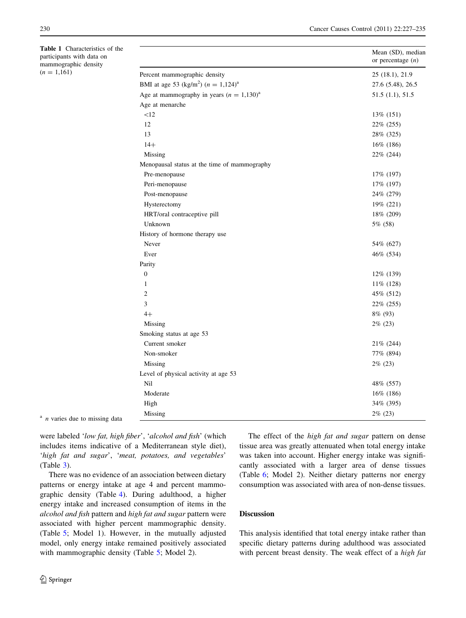<span id="page-3-0"></span>Table 1 Characteristics of the participants with data on mammographic density  $(n = 1,161)$ 

|                                                      | Mean (SD), median<br>or percentage $(n)$ |
|------------------------------------------------------|------------------------------------------|
| Percent mammographic density                         | 25 (18.1), 21.9                          |
| BMI at age 53 (kg/m <sup>2</sup> ) $(n = 1,124)^{a}$ | 27.6 (5.48), 26.5                        |
| Age at mammography in years $(n = 1,130)^{a}$        | 51.5(1.1), 51.5                          |
| Age at menarche                                      |                                          |
| <12                                                  | 13% (151)                                |
| 12                                                   | 22% (255)                                |
| 13                                                   | 28% (325)                                |
| $14+$                                                | 16% (186)                                |
| Missing                                              | 22% (244)                                |
| Menopausal status at the time of mammography         |                                          |
| Pre-menopause                                        | 17% (197)                                |
| Peri-menopause                                       | 17% (197)                                |
| Post-menopause                                       | 24\% (279)                               |
| Hysterectomy                                         | 19% (221)                                |
| HRT/oral contraceptive pill                          | 18% (209)                                |
| Unknown                                              | 5% (58)                                  |
| History of hormone therapy use                       |                                          |
| Never                                                | 54% (627)                                |
| Ever                                                 | 46% (534)                                |
| Parity                                               |                                          |
| $\mathbf{0}$                                         | 12% (139)                                |
| $\mathbf{1}$                                         | $11\%$ (128)                             |
| $\overline{2}$                                       | 45% (512)                                |
| 3                                                    | 22% (255)                                |
| $4+$                                                 | 8% (93)                                  |
| Missing                                              | $2\%$ (23)                               |
| Smoking status at age 53                             |                                          |
| Current smoker                                       | 21\% (244)                               |
| Non-smoker                                           | 77% (894)                                |
| Missing                                              | $2\%$ (23)                               |
| Level of physical activity at age 53                 |                                          |
| Nil                                                  | 48% (557)                                |
| Moderate                                             | $16\%$ (186)                             |
| High                                                 | 34% (395)                                |
| Missing                                              | $2\%$ (23)                               |

 $a$  *n* varies due to missing data

were labeled 'low fat, high fiber', 'alcohol and fish' (which includes items indicative of a Mediterranean style diet), 'high fat and sugar', 'meat, potatoes, and vegetables' (Table [3](#page-5-0)).

There was no evidence of an association between dietary patterns or energy intake at age 4 and percent mammographic density (Table [4](#page-6-0)). During adulthood, a higher energy intake and increased consumption of items in the alcohol and fish pattern and high fat and sugar pattern were associated with higher percent mammographic density. (Table [5](#page-6-0); Model 1). However, in the mutually adjusted model, only energy intake remained positively associated with mammographic density (Table [5](#page-6-0); Model 2).

The effect of the *high fat and sugar* pattern on dense tissue area was greatly attenuated when total energy intake was taken into account. Higher energy intake was significantly associated with a larger area of dense tissues (Table [6;](#page-6-0) Model 2). Neither dietary patterns nor energy consumption was associated with area of non-dense tissues.

# Discussion

This analysis identified that total energy intake rather than specific dietary patterns during adulthood was associated with percent breast density. The weak effect of a high fat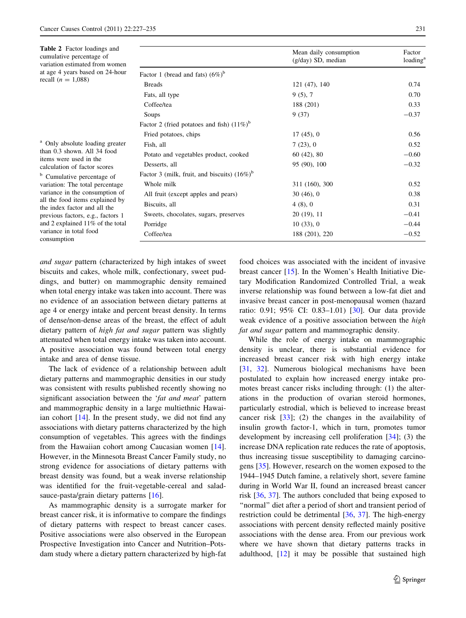<span id="page-4-0"></span>

| <b>Table 2</b> Factor loadings and<br>cumulative percentage of<br>variation estimated from women<br>at age 4 years based on 24-hour<br>recall $(n = 1,088)$                                                         |                                                 | Mean daily consumption<br>(g/day) SD, median | Factor<br>loading <sup>a</sup> |
|---------------------------------------------------------------------------------------------------------------------------------------------------------------------------------------------------------------------|-------------------------------------------------|----------------------------------------------|--------------------------------|
|                                                                                                                                                                                                                     | Factor 1 (bread and fats) $(6\%)^b$             |                                              |                                |
|                                                                                                                                                                                                                     | <b>Breads</b>                                   | 121(47), 140                                 | 0.74                           |
|                                                                                                                                                                                                                     | Fats, all type                                  | $9(5)$ , 7                                   | 0.70                           |
|                                                                                                                                                                                                                     | Coffee/tea                                      | 188 (201)                                    | 0.33                           |
|                                                                                                                                                                                                                     | Soups                                           | 9(37)                                        | $-0.37$                        |
|                                                                                                                                                                                                                     | Factor 2 (fried potatoes and fish) $(11\%)^b$   |                                              |                                |
|                                                                                                                                                                                                                     | Fried potatoes, chips                           | $17(45)$ , 0                                 | 0.56                           |
| <sup>a</sup> Only absolute loading greater<br>than 0.3 shown. All 34 food<br>items were used in the                                                                                                                 | Fish, all                                       | 7(23), 0                                     | 0.52                           |
|                                                                                                                                                                                                                     | Potato and vegetables product, cooked           | $60(42)$ , 80                                | $-0.60$                        |
|                                                                                                                                                                                                                     | Desserts, all                                   | 95 (90), 100                                 | $-0.32$                        |
| calculation of factor scores<br><sup>b</sup> Cumulative percentage of                                                                                                                                               | Factor 3 (milk, fruit, and biscuits) $(16\%)^b$ |                                              |                                |
| variation: The total percentage                                                                                                                                                                                     | Whole milk                                      | 311 (160), 300                               | 0.52                           |
| variance in the consumption of<br>all the food items explained by<br>the index factor and all the<br>previous factors, e.g., factors 1<br>and 2 explained 11% of the total<br>variance in total food<br>consumption | All fruit (except apples and pears)             | 30(46), 0                                    | 0.38                           |
|                                                                                                                                                                                                                     | Biscuits, all                                   | 4(8), 0                                      | 0.31                           |
|                                                                                                                                                                                                                     | Sweets, chocolates, sugars, preserves           | $20(19)$ , 11                                | $-0.41$                        |
|                                                                                                                                                                                                                     | Porridge                                        | 10(33), 0                                    | $-0.44$                        |
|                                                                                                                                                                                                                     | Coffee/tea                                      | 188 (201), 220                               | $-0.52$                        |

and sugar pattern (characterized by high intakes of sweet biscuits and cakes, whole milk, confectionary, sweet puddings, and butter) on mammographic density remained when total energy intake was taken into account. There was no evidence of an association between dietary patterns at age 4 or energy intake and percent breast density. In terms of dense/non-dense areas of the breast, the effect of adult dietary pattern of high fat and sugar pattern was slightly attenuated when total energy intake was taken into account. A positive association was found between total energy intake and area of dense tissue.

The lack of evidence of a relationship between adult dietary patterns and mammographic densities in our study was consistent with results published recently showing no significant association between the 'fat and meat' pattern and mammographic density in a large multiethnic Hawaiian cohort [[14\]](#page-7-0). In the present study, we did not find any associations with dietary patterns characterized by the high consumption of vegetables. This agrees with the findings from the Hawaiian cohort among Caucasian women [\[14](#page-7-0)]. However, in the Minnesota Breast Cancer Family study, no strong evidence for associations of dietary patterns with breast density was found, but a weak inverse relationship was identified for the fruit-vegetable-cereal and salad-sauce-pasta/grain dietary patterns [\[16](#page-7-0)].

As mammographic density is a surrogate marker for breast cancer risk, it is informative to compare the findings of dietary patterns with respect to breast cancer cases. Positive associations were also observed in the European Prospective Investigation into Cancer and Nutrition–Potsdam study where a dietary pattern characterized by high-fat food choices was associated with the incident of invasive breast cancer [[15\]](#page-7-0). In the Women's Health Initiative Dietary Modification Randomized Controlled Trial, a weak inverse relationship was found between a low-fat diet and invasive breast cancer in post-menopausal women (hazard ratio: 0.91; 95% CI: 0.83–1.01) [[30\]](#page-8-0). Our data provide weak evidence of a positive association between the *high* fat and sugar pattern and mammographic density.

While the role of energy intake on mammographic density is unclear, there is substantial evidence for increased breast cancer risk with high energy intake [\[31](#page-8-0), [32](#page-8-0)]. Numerous biological mechanisms have been postulated to explain how increased energy intake promotes breast cancer risks including through: (1) the alterations in the production of ovarian steroid hormones, particularly estrodial, which is believed to increase breast cancer risk  $[33]$  $[33]$ ; (2) the changes in the availability of insulin growth factor-1, which in turn, promotes tumor development by increasing cell proliferation [\[34](#page-8-0)]; (3) the increase DNA replication rate reduces the rate of apoptosis, thus increasing tissue susceptibility to damaging carcinogens [\[35](#page-8-0)]. However, research on the women exposed to the 1944–1945 Dutch famine, a relatively short, severe famine during in World War II, found an increased breast cancer risk [[36](#page-8-0), [37](#page-8-0)]. The authors concluded that being exposed to ''normal'' diet after a period of short and transient period of restriction could be detrimental [[36,](#page-8-0) [37](#page-8-0)]. The high-energy associations with percent density reflected mainly positive associations with the dense area. From our previous work where we have shown that dietary patterns tracks in adulthood, [\[12](#page-7-0)] it may be possible that sustained high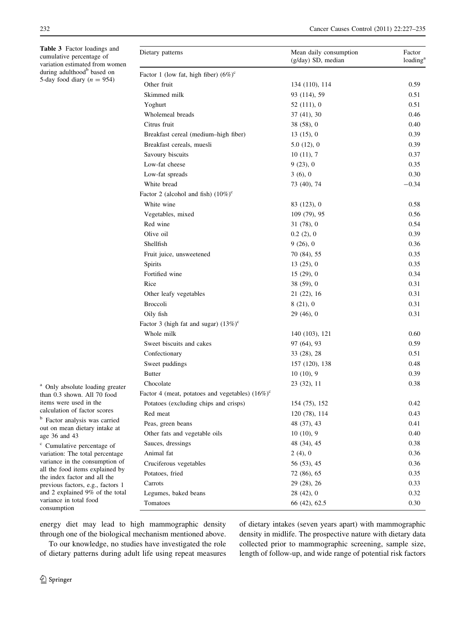<span id="page-5-0"></span>Table 3 Factor loadings and cumulative percentage of variation estimated from women during adulthood<sup>b</sup> based on 5-day food diary ( $n = 954$ )

<sup>a</sup> Only absolute loading greater than 0.3 shown. All 70 food items were used in the calculation of factor scores <sup>b</sup> Factor analysis was carried out on mean dietary intake at

<sup>c</sup> Cumulative percentage of variation: The total percentage variance in the consumption of all the food items explained by the index factor and all the previous factors, e.g., factors 1 and 2 explained 9% of the total variance in total food consumption

| Dietary patterns                                    | Mean daily consumption<br>$(g/day)$ SD, median | Factor<br>loading <sup>a</sup> |
|-----------------------------------------------------|------------------------------------------------|--------------------------------|
| Factor 1 (low fat, high fiber) $(6\%)^c$            |                                                |                                |
| Other fruit                                         | 134 (110), 114                                 | 0.59                           |
| Skimmed milk                                        | 93 (114), 59                                   | 0.51                           |
| Yoghurt                                             | 52 (111), 0                                    | 0.51                           |
| Wholemeal breads                                    | 37(41), 30                                     | 0.46                           |
| Citrus fruit                                        | 38(58), 0                                      | 0.40                           |
| Breakfast cereal (medium-high fiber)                | 13(15), 0                                      | 0.39                           |
| Breakfast cereals, muesli                           | 5.0(12), 0                                     | 0.39                           |
| Savoury biscuits                                    | 10(11), 7                                      | 0.37                           |
| Low-fat cheese                                      | 9(23), 0                                       | 0.35                           |
| Low-fat spreads                                     | 3(6), 0                                        | 0.30                           |
| White bread                                         | 73 (40), 74                                    | $-0.34$                        |
| Factor 2 (alcohol and fish) $(10\%)^c$              |                                                |                                |
| White wine                                          | 83 (123), 0                                    | 0.58                           |
| Vegetables, mixed                                   | 109 (79), 95                                   | 0.56                           |
| Red wine                                            | 31(78), 0                                      | 0.54                           |
| Olive oil                                           | 0.2(2), 0                                      | 0.39                           |
| Shellfish                                           | 9(26), 0                                       | 0.36                           |
| Fruit juice, unsweetened                            | 70 (84), 55                                    | 0.35                           |
| Spirits                                             | 13(25), 0                                      | 0.35                           |
| Fortified wine                                      | 15(29), 0                                      | 0.34                           |
| Rice                                                | 38(59), 0                                      | 0.31                           |
| Other leafy vegetables                              | 21(22), 16                                     | 0.31                           |
| <b>Broccoli</b>                                     | 8(21), 0                                       | 0.31                           |
| Oily fish                                           | 29(46), 0                                      | 0.31                           |
| Factor 3 (high fat and sugar) $(13\%)^c$            |                                                |                                |
| Whole milk                                          | 140 (103), 121                                 | 0.60                           |
| Sweet biscuits and cakes                            | 97 (64), 93                                    | 0.59                           |
| Confectionary                                       | 33 (28), 28                                    | 0.51                           |
| Sweet puddings                                      | 157 (120), 138                                 | 0.48                           |
| <b>Butter</b>                                       | 10(10), 9                                      | 0.39                           |
| Chocolate                                           | 23 (32), 11                                    | 0.38                           |
| Factor 4 (meat, potatoes and vegetables) $(16\%)^c$ |                                                |                                |
| Potatoes (excluding chips and crisps)               | 154 (75), 152                                  | 0.42                           |
| Red meat                                            | 120 (78), 114                                  | 0.43                           |
| Peas, green beans                                   | 48 (37), 43                                    | 0.41                           |
| Other fats and vegetable oils                       | 10(10), 9                                      | 0.40                           |
| Sauces, dressings                                   | 48 (34), 45                                    | 0.38                           |
| Animal fat                                          | 2(4), 0                                        | 0.36                           |
| Cruciferous vegetables                              | 56 (53), 45                                    | 0.36                           |
| Potatoes, fried                                     | 72 (86), 65                                    | 0.35                           |
| Carrots                                             | 29 (28), 26                                    | 0.33                           |
| Legumes, baked beans                                | 28(42), 0                                      | 0.32                           |
| Tomatoes                                            | 66 (42), 62.5                                  | 0.30                           |

energy diet may lead to high mammographic density through one of the biological mechanism mentioned above.

To our knowledge, no studies have investigated the role of dietary patterns during adult life using repeat measures of dietary intakes (seven years apart) with mammographic density in midlife. The prospective nature with dietary data collected prior to mammographic screening, sample size, length of follow-up, and wide range of potential risk factors

age 36 and 43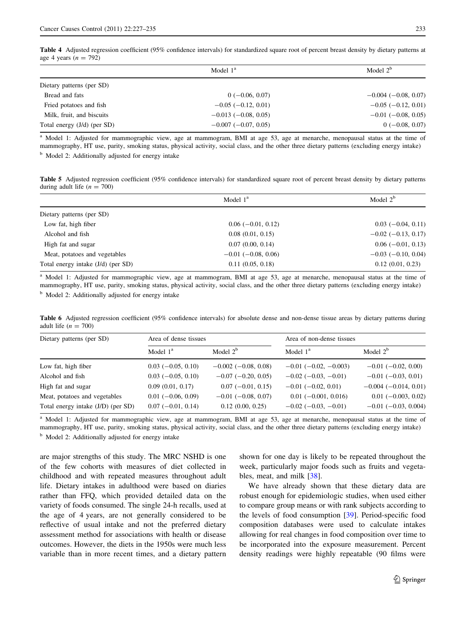<span id="page-6-0"></span>Table 4 Adjusted regression coefficient (95% confidence intervals) for standardized square root of percent breast density by dietary patterns at age 4 years ( $n = 792$ )

|                             | Model $1a$                | Model $2b$                |  |
|-----------------------------|---------------------------|---------------------------|--|
| Dietary patterns (per SD)   |                           |                           |  |
| Bread and fats              | $0(-0.06, 0.07)$          | $-0.004(-0.08, 0.07)$     |  |
| Fried potatoes and fish     | $-0.05$ ( $-0.12$ , 0.01) | $-0.05$ ( $-0.12$ , 0.01) |  |
| Milk, fruit, and biscuits   | $-0.013(-0.08, 0.05)$     | $-0.01$ ( $-0.08$ , 0.05) |  |
| Total energy (J/d) (per SD) | $-0.007(-0.07, 0.05)$     | $0(-0.08, 0.07)$          |  |

<sup>a</sup> Model 1: Adjusted for mammographic view, age at mammogram, BMI at age 53, age at menarche, menopausal status at the time of mammography, HT use, parity, smoking status, physical activity, social class, and the other three dietary patterns (excluding energy intake)

<sup>b</sup> Model 2: Additionally adjusted for energy intake

Table 5 Adjusted regression coefficient (95% confidence intervals) for standardized square root of percent breast density by dietary patterns during adult life  $(n = 700)$ 

| Model $1^a$               | Model $2b$                |  |
|---------------------------|---------------------------|--|
|                           |                           |  |
| $0.06(-0.01, 0.12)$       | $0.03(-0.04, 0.11)$       |  |
| 0.08(0.01, 0.15)          | $-0.02$ ( $-0.13$ , 0.17) |  |
| 0.07(0.00, 0.14)          | $0.06$ ( $-0.01$ , 0.13)  |  |
| $-0.01$ ( $-0.08$ , 0.06) | $-0.03$ ( $-0.10$ , 0.04) |  |
| 0.11(0.05, 0.18)          | 0.12(0.01, 0.23)          |  |
|                           |                           |  |

<sup>a</sup> Model 1: Adjusted for mammographic view, age at mammogram, BMI at age 53, age at menarche, menopausal status at the time of mammography, HT use, parity, smoking status, physical activity, social class, and the other three dietary patterns (excluding energy intake) <sup>b</sup> Model 2: Additionally adjusted for energy intake

Table 6 Adjusted regression coefficient (95% confidence intervals) for absolute dense and non-dense tissue areas by dietary patterns during adult life  $(n = 700)$ 

| Dietary patterns (per SD)          | Area of dense tissues |                            | Area of non-dense tissues      |                             |
|------------------------------------|-----------------------|----------------------------|--------------------------------|-----------------------------|
|                                    | Model $1a$            | Model $2b$                 | Model $1^a$                    | Model $2b$                  |
| Low fat, high fiber                | $0.03$ (-0.05, 0.10)  | $-0.002$ ( $-0.08$ , 0.08) | $-0.01$ ( $-0.02$ , $-0.003$ ) | $-0.01$ ( $-0.02$ , 0.00)   |
| Alcohol and fish                   | $0.03$ (-0.05, 0.10)  | $-0.07$ ( $-0.20, 0.05$ )  | $-0.02$ ( $-0.03$ , $-0.01$ )  | $-0.01$ ( $-0.03$ , 0.01)   |
| High fat and sugar                 | 0.09(0.01, 0.17)      | $0.07(-0.01, 0.15)$        | $-0.01$ ( $-0.02$ , 0.01)      | $-0.004$ ( $-0.014$ , 0.01) |
| Meat, potatoes and vegetables      | $0.01(-0.06, 0.09)$   | $-0.01$ ( $-0.08$ , 0.07)  | $0.01$ (-0.001, 0.016)         | $0.01$ (-0.003, 0.02)       |
| Total energy intake (J/D) (per SD) | $0.07(-0.01, 0.14)$   | $0.12$ $(0.00, 0.25)$      | $-0.02$ ( $-0.03$ , $-0.01$ )  | $-0.01$ ( $-0.03$ , 0.004)  |

<sup>a</sup> Model 1: Adjusted for mammographic view, age at mammogram, BMI at age 53, age at menarche, menopausal status at the time of mammography, HT use, parity, smoking status, physical activity, social class, and the other three dietary patterns (excluding energy intake)

<sup>b</sup> Model 2: Additionally adjusted for energy intake

are major strengths of this study. The MRC NSHD is one of the few cohorts with measures of diet collected in childhood and with repeated measures throughout adult life. Dietary intakes in adulthood were based on diaries rather than FFQ, which provided detailed data on the variety of foods consumed. The single 24-h recalls, used at the age of 4 years, are not generally considered to be reflective of usual intake and not the preferred dietary assessment method for associations with health or disease outcomes. However, the diets in the 1950s were much less variable than in more recent times, and a dietary pattern

shown for one day is likely to be repeated throughout the week, particularly major foods such as fruits and vegetables, meat, and milk [\[38](#page-8-0)].

We have already shown that these dietary data are robust enough for epidemiologic studies, when used either to compare group means or with rank subjects according to the levels of food consumption [[39\]](#page-8-0). Period-specific food composition databases were used to calculate intakes allowing for real changes in food composition over time to be incorporated into the exposure measurement. Percent density readings were highly repeatable (90 films were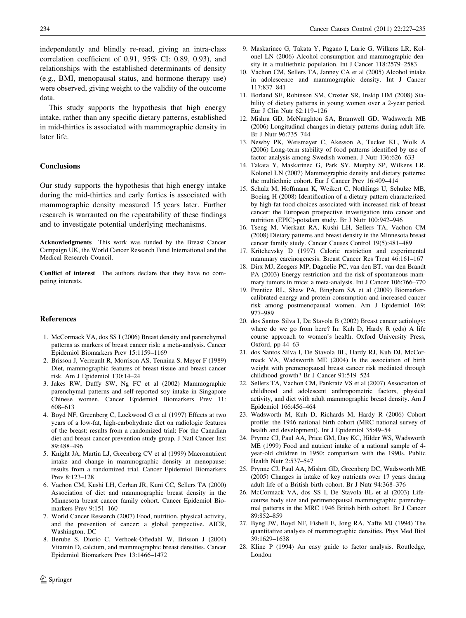<span id="page-7-0"></span>independently and blindly re-read, giving an intra-class correlation coefficient of 0.91, 95% CI: 0.89, 0.93), and relationships with the established determinants of density (e.g., BMI, menopausal status, and hormone therapy use) were observed, giving weight to the validity of the outcome data.

This study supports the hypothesis that high energy intake, rather than any specific dietary patterns, established in mid-thirties is associated with mammographic density in later life.

# **Conclusions**

Our study supports the hypothesis that high energy intake during the mid-thirties and early forties is associated with mammographic density measured 15 years later. Further research is warranted on the repeatability of these findings and to investigate potential underlying mechanisms.

Acknowledgments This work was funded by the Breast Cancer Campaign UK, the World Cancer Research Fund International and the Medical Research Council.

Conflict of interest The authors declare that they have no competing interests.

#### References

- 1. McCormack VA, dos SS I (2006) Breast density and parenchymal patterns as markers of breast cancer risk: a meta-analysis. Cancer Epidemiol Biomarkers Prev 15:1159–1169
- 2. Brisson J, Verreault R, Morrison AS, Tennina S, Meyer F (1989) Diet, mammographic features of breast tissue and breast cancer risk. Am J Epidemiol 130:14–24
- 3. Jakes RW, Duffy SW, Ng FC et al (2002) Mammographic parenchymal patterns and self-reported soy intake in Singapore Chinese women. Cancer Epidemiol Biomarkers Prev 11: 608–613
- 4. Boyd NF, Greenberg C, Lockwood G et al (1997) Effects at two years of a low-fat, high-carbohydrate diet on radiologic features of the breast: results from a randomized trial: For the Canadian diet and breast cancer prevention study group. J Natl Cancer Inst 89:488–496
- 5. Knight JA, Martin LJ, Greenberg CV et al (1999) Macronutrient intake and change in mammographic density at menopause: results from a randomized trial. Cancer Epidemiol Biomarkers Prev 8:123–128
- 6. Vachon CM, Kushi LH, Cerhan JR, Kuni CC, Sellers TA (2000) Association of diet and mammographic breast density in the Minnesota breast cancer family cohort. Cancer Epidemiol Biomarkers Prev 9:151–160
- 7. World Cancer Research (2007) Food, nutrition, physical activity, and the prevention of cancer: a global perspective. AICR, Washington, DC
- 8. Berube S, Diorio C, Verhoek-Oftedahl W, Brisson J (2004) Vitamin D, calcium, and mammographic breast densities. Cancer Epidemiol Biomarkers Prev 13:1466–1472
- 9. Maskarinec G, Takata Y, Pagano I, Lurie G, Wilkens LR, Kolonel LN (2006) Alcohol consumption and mammographic density in a multiethnic population. Int J Cancer 118:2579–2583
- 10. Vachon CM, Sellers TA, Janney CA et al (2005) Alcohol intake in adolescence and mammographic density. Int J Cancer 117:837–841
- 11. Borland SE, Robinson SM, Crozier SR, Inskip HM (2008) Stability of dietary patterns in young women over a 2-year period. Eur J Clin Nutr 62:119–126
- 12. Mishra GD, McNaughton SA, Bramwell GD, Wadsworth ME (2006) Longitudinal changes in dietary patterns during adult life. Br J Nutr 96:735–744
- 13. Newby PK, Weismayer C, Akesson A, Tucker KL, Wolk A (2006) Long-term stability of food patterns identified by use of factor analysis among Swedish women. J Nutr 136:626–633
- 14. Takata Y, Maskarinec G, Park SY, Murphy SP, Wilkens LR, Kolonel LN (2007) Mammographic density and dietary patterns: the multiethnic cohort. Eur J Cancer Prev 16:409–414
- 15. Schulz M, Hoffmann K, Weikert C, Nothlings U, Schulze MB, Boeing H (2008) Identification of a dietary pattern characterized by high-fat food choices associated with increased risk of breast cancer: the European prospective investigation into cancer and nutrition (EPIC)-potsdam study. Br J Nutr 100:942–946
- 16. Tseng M, Vierkant RA, Kushi LH, Sellers TA, Vachon CM (2008) Dietary patterns and breast density in the Minnesota breast cancer family study. Cancer Causes Control 19(5):481–489
- 17. Kritchevsky D (1997) Caloric restriction and experimental mammary carcinogenesis. Breast Cancer Res Treat 46:161–167
- 18. Dirx MJ, Zeegers MP, Dagnelie PC, van den BT, van den Brandt PA (2003) Energy restriction and the risk of spontaneous mammary tumors in mice: a meta-analysis. Int J Cancer 106:766–770
- 19. Prentice RL, Shaw PA, Bingham SA et al (2009) Biomarkercalibrated energy and protein consumption and increased cancer risk among postmenopausal women. Am J Epidemiol 169: 977–989
- 20. dos Santos Silva I, De Stavola B (2002) Breast cancer aetiology: where do we go from here? In: Kuh D, Hardy R (eds) A life course approach to women's health. Oxford University Press, Oxford, pp 44–63
- 21. dos Santos Silva I, De Stavola BL, Hardy RJ, Kuh DJ, McCormack VA, Wadsworth ME (2004) Is the association of birth weight with premenopausal breast cancer risk mediated through childhood growth? Br J Cancer 91:519–524
- 22. Sellers TA, Vachon CM, Pankratz VS et al (2007) Association of childhood and adolescent anthropometric factors, physical activity, and diet with adult mammographic breast density. Am J Epidemiol 166:456–464
- 23. Wadsworth M, Kuh D, Richards M, Hardy R (2006) Cohort profile: the 1946 national birth cohort (MRC national survey of health and development). Int J Epidemiol 35:49–54
- 24. Prynne CJ, Paul AA, Price GM, Day KC, Hilder WS, Wadsworth ME (1999) Food and nutrient intake of a national sample of 4 year-old children in 1950: comparison with the 1990s. Public Health Nutr 2:537–547
- 25. Prynne CJ, Paul AA, Mishra GD, Greenberg DC, Wadsworth ME (2005) Changes in intake of key nutrients over 17 years during adult life of a British birth cohort. Br J Nutr 94:368–376
- 26. McCormack VA, dos SS I, De Stavola BL et al (2003) Lifecourse body size and perimenopausal mammographic parenchymal patterns in the MRC 1946 British birth cohort. Br J Cancer 89:852–859
- 27. Byng JW, Boyd NF, Fishell E, Jong RA, Yaffe MJ (1994) The quantitative analysis of mammographic densities. Phys Med Biol 39:1629–1638
- 28. Kline P (1994) An easy guide to factor analysis. Routledge, London